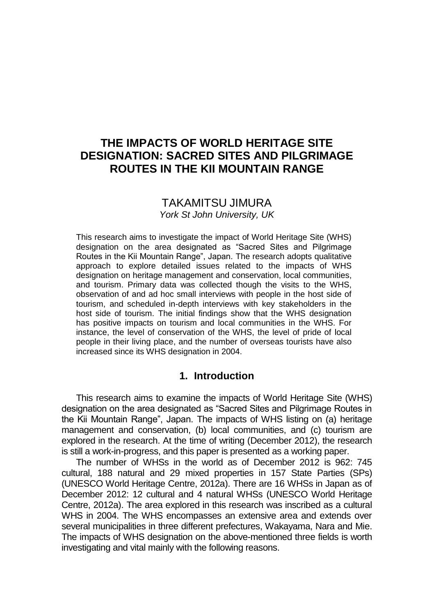## **THE IMPACTS OF WORLD HERITAGE SITE DESIGNATION: SACRED SITES AND PILGRIMAGE ROUTES IN THE KII MOUNTAIN RANGE**

# TAKAMITSU JIMURA

*York St John University, UK*

This research aims to investigate the impact of World Heritage Site (WHS) designation on the area designated as "Sacred Sites and Pilgrimage Routes in the Kii Mountain Range", Japan. The research adopts qualitative approach to explore detailed issues related to the impacts of WHS designation on heritage management and conservation, local communities, and tourism. Primary data was collected though the visits to the WHS, observation of and ad hoc small interviews with people in the host side of tourism, and scheduled in-depth interviews with key stakeholders in the host side of tourism. The initial findings show that the WHS designation has positive impacts on tourism and local communities in the WHS. For instance, the level of conservation of the WHS, the level of pride of local people in their living place, and the number of overseas tourists have also increased since its WHS designation in 2004.

## **1. Introduction**

This research aims to examine the impacts of World Heritage Site (WHS) designation on the area designated as "Sacred Sites and Pilgrimage Routes in the Kii Mountain Range", Japan. The impacts of WHS listing on (a) heritage management and conservation, (b) local communities, and (c) tourism are explored in the research. At the time of writing (December 2012), the research is still a work-in-progress, and this paper is presented as a working paper.

The number of WHSs in the world as of December 2012 is 962: 745 cultural, 188 natural and 29 mixed properties in 157 State Parties (SPs) (UNESCO World Heritage Centre, 2012a). There are 16 WHSs in Japan as of December 2012: 12 cultural and 4 natural WHSs (UNESCO World Heritage Centre, 2012a). The area explored in this research was inscribed as a cultural WHS in 2004. The WHS encompasses an extensive area and extends over several municipalities in three different prefectures, Wakayama, Nara and Mie. The impacts of WHS designation on the above-mentioned three fields is worth investigating and vital mainly with the following reasons.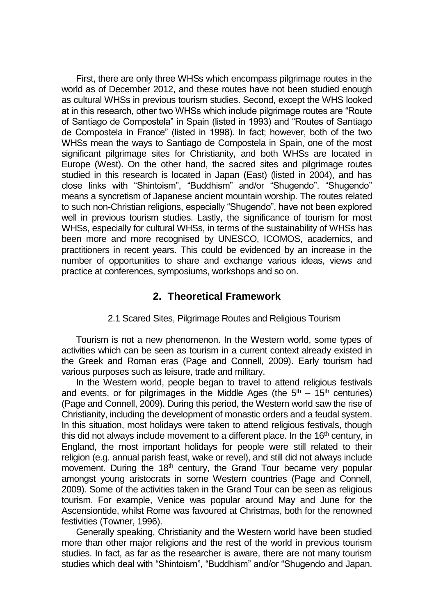First, there are only three WHSs which encompass pilgrimage routes in the world as of December 2012, and these routes have not been studied enough as cultural WHSs in previous tourism studies. Second, except the WHS looked at in this research, other two WHSs which include pilgrimage routes are "Route of Santiago de Compostela" in Spain (listed in 1993) and "Routes of Santiago de Compostela in France" (listed in 1998). In fact; however, both of the two WHSs mean the ways to Santiago de Compostela in Spain, one of the most significant pilgrimage sites for Christianity, and both WHSs are located in Europe (West). On the other hand, the sacred sites and pilgrimage routes studied in this research is located in Japan (East) (listed in 2004), and has close links with "Shintoism", "Buddhism" and/or "Shugendo". "Shugendo" means a syncretism of Japanese ancient mountain worship. The routes related to such non-Christian religions, especially "Shugendo", have not been explored well in previous tourism studies. Lastly, the significance of tourism for most WHSs, especially for cultural WHSs, in terms of the sustainability of WHSs has been more and more recognised by UNESCO, ICOMOS, academics, and practitioners in recent years. This could be evidenced by an increase in the number of opportunities to share and exchange various ideas, views and practice at conferences, symposiums, workshops and so on.

## **2. Theoretical Framework**

#### 2.1 Scared Sites, Pilgrimage Routes and Religious Tourism

Tourism is not a new phenomenon. In the Western world, some types of activities which can be seen as tourism in a current context already existed in the Greek and Roman eras (Page and Connell, 2009). Early tourism had various purposes such as leisure, trade and military.

In the Western world, people began to travel to attend religious festivals and events, or for pilgrimages in the Middle Ages (the  $5<sup>th</sup> - 15<sup>th</sup>$  centuries) (Page and Connell, 2009). During this period, the Western world saw the rise of Christianity, including the development of monastic orders and a feudal system. In this situation, most holidays were taken to attend religious festivals, though this did not always include movement to a different place. In the 16<sup>th</sup> century, in England, the most important holidays for people were still related to their religion (e.g. annual parish feast, wake or revel), and still did not always include movement. During the 18<sup>th</sup> century, the Grand Tour became very popular amongst young aristocrats in some Western countries (Page and Connell, 2009). Some of the activities taken in the Grand Tour can be seen as religious tourism. For example, Venice was popular around May and June for the Ascensiontide, whilst Rome was favoured at Christmas, both for the renowned festivities (Towner, 1996).

Generally speaking, Christianity and the Western world have been studied more than other major religions and the rest of the world in previous tourism studies. In fact, as far as the researcher is aware, there are not many tourism studies which deal with "Shintoism", "Buddhism" and/or "Shugendo and Japan.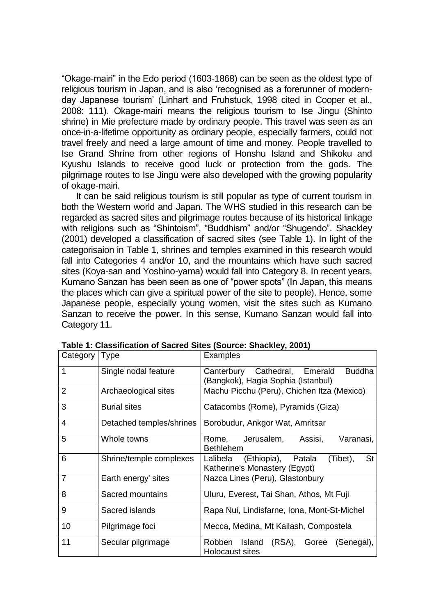"Okage-mairi" in the Edo period (1603-1868) can be seen as the oldest type of religious tourism in Japan, and is also 'recognised as a forerunner of modernday Japanese tourism' (Linhart and Fruhstuck, 1998 cited in Cooper et al., 2008: 111). Okage-mairi means the religious tourism to Ise Jingu (Shinto shrine) in Mie prefecture made by ordinary people. This travel was seen as an once-in-a-lifetime opportunity as ordinary people, especially farmers, could not travel freely and need a large amount of time and money. People travelled to Ise Grand Shrine from other regions of Honshu Island and Shikoku and Kyushu Islands to receive good luck or protection from the gods. The pilgrimage routes to Ise Jingu were also developed with the growing popularity of okage-mairi.

It can be said religious tourism is still popular as type of current tourism in both the Western world and Japan. The WHS studied in this research can be regarded as sacred sites and pilgrimage routes because of its historical linkage with religions such as "Shintoism", "Buddhism" and/or "Shugendo". Shackley (2001) developed a classification of sacred sites (see Table 1). In light of the categorisaion in Table 1, shrines and temples examined in this research would fall into Categories 4 and/or 10, and the mountains which have such sacred sites (Koya-san and Yoshino-yama) would fall into Category 8. In recent years, Kumano Sanzan has been seen as one of "power spots" (In Japan, this means the places which can give a spiritual power of the site to people). Hence, some Japanese people, especially young women, visit the sites such as Kumano Sanzan to receive the power. In this sense, Kumano Sanzan would fall into Category 11.

| Category   Type |                          | Examples                                                                             |
|-----------------|--------------------------|--------------------------------------------------------------------------------------|
| $\mathbf{1}$    | Single nodal feature     | Canterbury Cathedral, Emerald<br><b>Buddha</b><br>(Bangkok), Hagia Sophia (Istanbul) |
| $\overline{2}$  | Archaeological sites     | Machu Picchu (Peru), Chichen Itza (Mexico)                                           |
| 3               | <b>Burial sites</b>      | Catacombs (Rome), Pyramids (Giza)                                                    |
| $\overline{4}$  | Detached temples/shrines | Borobudur, Ankgor Wat, Amritsar                                                      |
| 5               | Whole towns              | Jerusalem,<br>Varanasi,<br>Assisi,<br>Rome.<br><b>Bethlehem</b>                      |
| 6               | Shrine/temple complexes  | St<br>Lalibela (Ethiopia), Patala<br>(Tibet),<br>Katherine's Monastery (Egypt)       |
| $\overline{7}$  | Earth energy' sites      | Nazca Lines (Peru), Glastonbury                                                      |
| 8               | Sacred mountains         | Uluru, Everest, Tai Shan, Athos, Mt Fuji                                             |
| 9               | Sacred islands           | Rapa Nui, Lindisfarne, Iona, Mont-St-Michel                                          |
| 10              | Pilgrimage foci          | Mecca, Medina, Mt Kailash, Compostela                                                |
| 11              | Secular pilgrimage       | Robben Island<br>(RSA), Goree (Senegal),<br>Holocaust sites                          |

**Table 1: Classification of Sacred Sites (Source: Shackley, 2001)**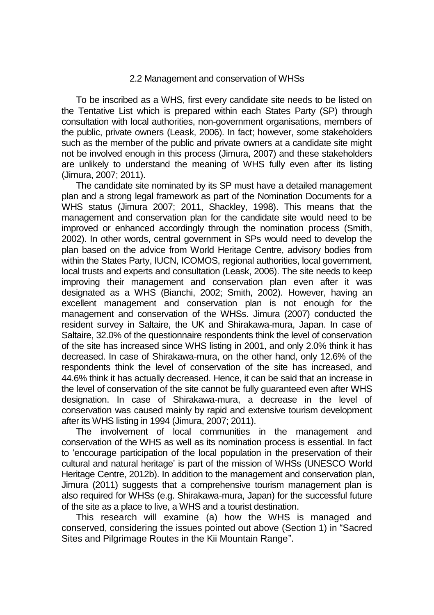#### 2.2 Management and conservation of WHSs

To be inscribed as a WHS, first every candidate site needs to be listed on the Tentative List which is prepared within each States Party (SP) through consultation with local authorities, non-government organisations, members of the public, private owners (Leask, 2006). In fact; however, some stakeholders such as the member of the public and private owners at a candidate site might not be involved enough in this process (Jimura, 2007) and these stakeholders are unlikely to understand the meaning of WHS fully even after its listing (Jimura, 2007; 2011).

The candidate site nominated by its SP must have a detailed management plan and a strong legal framework as part of the Nomination Documents for a WHS status (Jimura 2007; 2011, Shackley, 1998). This means that the management and conservation plan for the candidate site would need to be improved or enhanced accordingly through the nomination process (Smith, 2002). In other words, central government in SPs would need to develop the plan based on the advice from World Heritage Centre, advisory bodies from within the States Party, IUCN, ICOMOS, regional authorities, local government, local trusts and experts and consultation (Leask, 2006). The site needs to keep improving their management and conservation plan even after it was designated as a WHS (Bianchi, 2002; Smith, 2002). However, having an excellent management and conservation plan is not enough for the management and conservation of the WHSs. Jimura (2007) conducted the resident survey in Saltaire, the UK and Shirakawa-mura, Japan. In case of Saltaire, 32.0% of the questionnaire respondents think the level of conservation of the site has increased since WHS listing in 2001, and only 2.0% think it has decreased. In case of Shirakawa-mura, on the other hand, only 12.6% of the respondents think the level of conservation of the site has increased, and 44.6% think it has actually decreased. Hence, it can be said that an increase in the level of conservation of the site cannot be fully guaranteed even after WHS designation. In case of Shirakawa-mura, a decrease in the level of conservation was caused mainly by rapid and extensive tourism development after its WHS listing in 1994 (Jimura, 2007; 2011).

The involvement of local communities in the management and conservation of the WHS as well as its nomination process is essential. In fact to 'encourage participation of the local population in the preservation of their cultural and natural heritage' is part of the mission of WHSs (UNESCO World Heritage Centre, 2012b). In addition to the management and conservation plan, Jimura (2011) suggests that a comprehensive tourism management plan is also required for WHSs (e.g. Shirakawa-mura, Japan) for the successful future of the site as a place to live, a WHS and a tourist destination.

This research will examine (a) how the WHS is managed and conserved, considering the issues pointed out above (Section 1) in "Sacred Sites and Pilgrimage Routes in the Kii Mountain Range".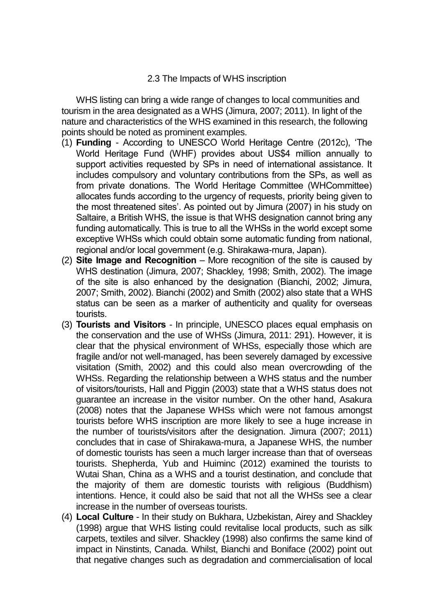#### 2.3 The Impacts of WHS inscription

WHS listing can bring a wide range of changes to local communities and tourism in the area designated as a WHS (Jimura, 2007; 2011). In light of the nature and characteristics of the WHS examined in this research, the following points should be noted as prominent examples.

- (1) **Funding** According to UNESCO World Heritage Centre (2012c), 'The World Heritage Fund (WHF) provides about US\$4 million annually to support activities requested by SPs in need of international assistance. It includes compulsory and voluntary contributions from the SPs, as well as from private donations. The World Heritage Committee (WHCommittee) allocates funds according to the urgency of requests, priority being given to the most threatened sites'. As pointed out by Jimura (2007) in his study on Saltaire, a British WHS, the issue is that WHS designation cannot bring any funding automatically. This is true to all the WHSs in the world except some exceptive WHSs which could obtain some automatic funding from national, regional and/or local government (e.g. Shirakawa-mura, Japan).
- (2) **Site Image and Recognition** More recognition of the site is caused by WHS destination (Jimura, 2007; Shackley, 1998; Smith, 2002). The image of the site is also enhanced by the designation (Bianchi, 2002; Jimura, 2007; Smith, 2002). Bianchi (2002) and Smith (2002) also state that a WHS status can be seen as a marker of authenticity and quality for overseas tourists.
- (3) **Tourists and Visitors** In principle, UNESCO places equal emphasis on the conservation and the use of WHSs (Jimura, 2011: 291). However, it is clear that the physical environment of WHSs, especially those which are fragile and/or not well-managed, has been severely damaged by excessive visitation (Smith, 2002) and this could also mean overcrowding of the WHSs. Regarding the relationship between a WHS status and the number of visitors/tourists, Hall and Piggin (2003) state that a WHS status does not guarantee an increase in the visitor number. On the other hand, Asakura (2008) notes that the Japanese WHSs which were not famous amongst tourists before WHS inscription are more likely to see a huge increase in the number of tourists/visitors after the designation. Jimura (2007; 2011) concludes that in case of Shirakawa-mura, a Japanese WHS, the number of domestic tourists has seen a much larger increase than that of overseas tourists. Shepherda, Yub and Huiminc (2012) examined the tourists to Wutai Shan, China as a WHS and a tourist destination, and conclude that the majority of them are domestic tourists with religious (Buddhism) intentions. Hence, it could also be said that not all the WHSs see a clear increase in the number of overseas tourists.
- (4) **Local Culture** In their study on Bukhara, Uzbekistan, Airey and Shackley (1998) argue that WHS listing could revitalise local products, such as silk carpets, textiles and silver. Shackley (1998) also confirms the same kind of impact in Ninstints, Canada. Whilst, Bianchi and Boniface (2002) point out that negative changes such as degradation and commercialisation of local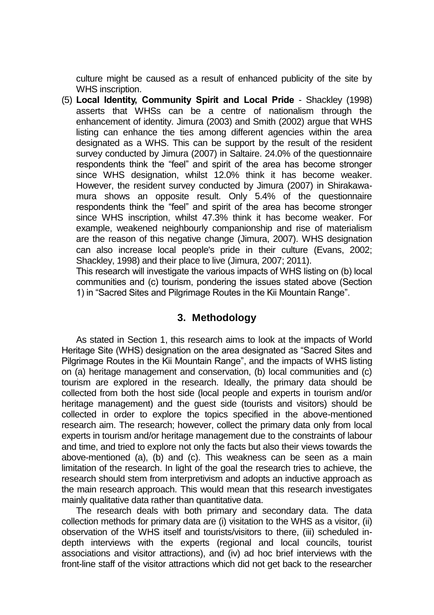culture might be caused as a result of enhanced publicity of the site by WHS inscription.

(5) **Local Identity, Community Spirit and Local Pride** - Shackley (1998) asserts that WHSs can be a centre of nationalism through the enhancement of identity. Jimura (2003) and Smith (2002) argue that WHS listing can enhance the ties among different agencies within the area designated as a WHS. This can be support by the result of the resident survey conducted by Jimura (2007) in Saltaire. 24.0% of the questionnaire respondents think the "feel" and spirit of the area has become stronger since WHS designation, whilst 12.0% think it has become weaker. However, the resident survey conducted by Jimura (2007) in Shirakawamura shows an opposite result. Only 5.4% of the questionnaire respondents think the "feel" and spirit of the area has become stronger since WHS inscription, whilst 47.3% think it has become weaker. For example, weakened neighbourly companionship and rise of materialism are the reason of this negative change (Jimura, 2007). WHS designation can also increase local people's pride in their culture (Evans, 2002; Shackley, 1998) and their place to live (Jimura, 2007; 2011).

This research will investigate the various impacts of WHS listing on (b) local communities and (c) tourism, pondering the issues stated above (Section 1) in "Sacred Sites and Pilgrimage Routes in the Kii Mountain Range".

## **3. Methodology**

As stated in Section 1, this research aims to look at the impacts of World Heritage Site (WHS) designation on the area designated as "Sacred Sites and Pilgrimage Routes in the Kii Mountain Range", and the impacts of WHS listing on (a) heritage management and conservation, (b) local communities and (c) tourism are explored in the research. Ideally, the primary data should be collected from both the host side (local people and experts in tourism and/or heritage management) and the guest side (tourists and visitors) should be collected in order to explore the topics specified in the above-mentioned research aim. The research; however, collect the primary data only from local experts in tourism and/or heritage management due to the constraints of labour and time, and tried to explore not only the facts but also their views towards the above-mentioned (a), (b) and (c). This weakness can be seen as a main limitation of the research. In light of the goal the research tries to achieve, the research should stem from interpretivism and adopts an inductive approach as the main research approach. This would mean that this research investigates mainly qualitative data rather than quantitative data.

The research deals with both primary and secondary data. The data collection methods for primary data are (i) visitation to the WHS as a visitor, (ii) observation of the WHS itself and tourists/visitors to there, (iii) scheduled indepth interviews with the experts (regional and local councils, tourist associations and visitor attractions), and (iv) ad hoc brief interviews with the front-line staff of the visitor attractions which did not get back to the researcher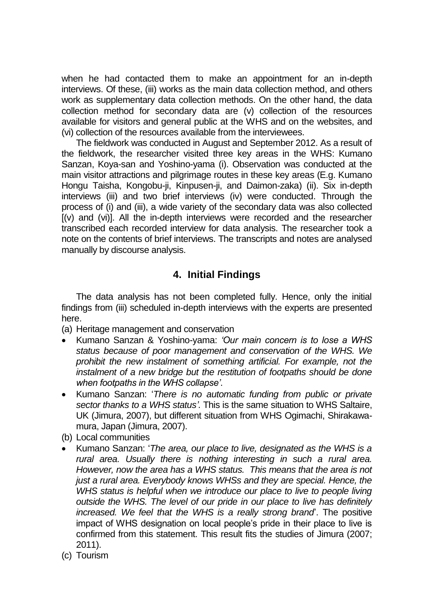when he had contacted them to make an appointment for an in-depth interviews. Of these, (iii) works as the main data collection method, and others work as supplementary data collection methods. On the other hand, the data collection method for secondary data are (v) collection of the resources available for visitors and general public at the WHS and on the websites, and (vi) collection of the resources available from the interviewees.

The fieldwork was conducted in August and September 2012. As a result of the fieldwork, the researcher visited three key areas in the WHS: Kumano Sanzan, Koya-san and Yoshino-yama (i). Observation was conducted at the main visitor attractions and pilgrimage routes in these key areas (E.g. Kumano Hongu Taisha, Kongobu-ji, Kinpusen-ji, and Daimon-zaka) (ii). Six in-depth interviews (iii) and two brief interviews (iv) were conducted. Through the process of (i) and (iii), a wide variety of the secondary data was also collected [(v) and (vi)]. All the in-depth interviews were recorded and the researcher transcribed each recorded interview for data analysis. The researcher took a note on the contents of brief interviews. The transcripts and notes are analysed manually by discourse analysis.

## **4. Initial Findings**

The data analysis has not been completed fully. Hence, only the initial findings from (iii) scheduled in-depth interviews with the experts are presented here.

(a) Heritage management and conservation

- Kumano Sanzan & Yoshino-yama: *'Our main concern is to lose a WHS status because of poor management and conservation of the WHS. We prohibit the new instalment of something artificial. For example, not the instalment of a new bridge but the restitution of footpaths should be done when footpaths in the WHS collapse'*.
- Kumano Sanzan: '*There is no automatic funding from public or private sector thanks to a WHS status'*. This is the same situation to WHS Saltaire, UK (Jimura, 2007), but different situation from WHS Ogimachi, Shirakawamura, Japan (Jimura, 2007).
- (b) Local communities
- Kumano Sanzan: '*The area, our place to live, designated as the WHS is a rural area. Usually there is nothing interesting in such a rural area. However, now the area has a WHS status. This means that the area is not just a rural area. Everybody knows WHSs and they are special. Hence, the WHS status is helpful when we introduce our place to live to people living outside the WHS. The level of our pride in our place to live has definitely increased. We feel that the WHS is a really strong brand*'. The positive impact of WHS designation on local people's pride in their place to live is confirmed from this statement. This result fits the studies of Jimura (2007; 2011).
- (c) Tourism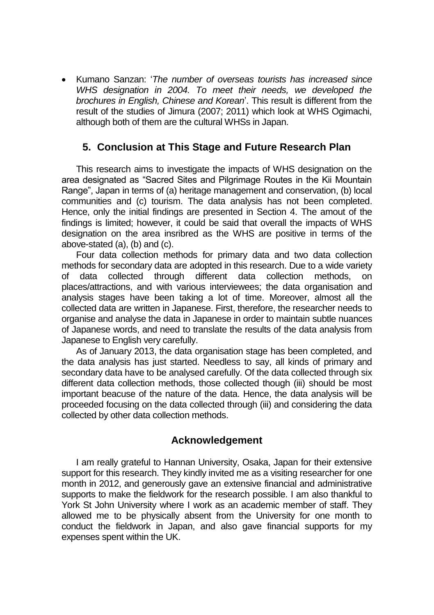Kumano Sanzan: '*The number of overseas tourists has increased since WHS designation in 2004. To meet their needs, we developed the brochures in English, Chinese and Korean*'. This result is different from the result of the studies of Jimura (2007; 2011) which look at WHS Ogimachi, although both of them are the cultural WHSs in Japan.

### **5. Conclusion at This Stage and Future Research Plan**

This research aims to investigate the impacts of WHS designation on the area designated as "Sacred Sites and Pilgrimage Routes in the Kii Mountain Range", Japan in terms of (a) heritage management and conservation, (b) local communities and (c) tourism. The data analysis has not been completed. Hence, only the initial findings are presented in Section 4. The amout of the findings is limited; however, it could be said that overall the impacts of WHS designation on the area insribred as the WHS are positive in terms of the above-stated (a), (b) and (c).

Four data collection methods for primary data and two data collection methods for secondary data are adopted in this research. Due to a wide variety of data collected through different data collection methods, on places/attractions, and with various interviewees; the data organisation and analysis stages have been taking a lot of time. Moreover, almost all the collected data are written in Japanese. First, therefore, the researcher needs to organise and analyse the data in Japanese in order to maintain subtle nuances of Japanese words, and need to translate the results of the data analysis from Japanese to English very carefully.

As of January 2013, the data organisation stage has been completed, and the data analysis has just started. Needless to say, all kinds of primary and secondary data have to be analysed carefully. Of the data collected through six different data collection methods, those collected though (iii) should be most important beacuse of the nature of the data. Hence, the data analysis will be proceeded focusing on the data collected through (iii) and considering the data collected by other data collection methods.

#### **Acknowledgement**

I am really grateful to Hannan University, Osaka, Japan for their extensive support for this research. They kindly invited me as a visiting researcher for one month in 2012, and generously gave an extensive financial and administrative supports to make the fieldwork for the research possible. I am also thankful to York St John University where I work as an academic member of staff. They allowed me to be physically absent from the University for one month to conduct the fieldwork in Japan, and also gave financial supports for my expenses spent within the UK.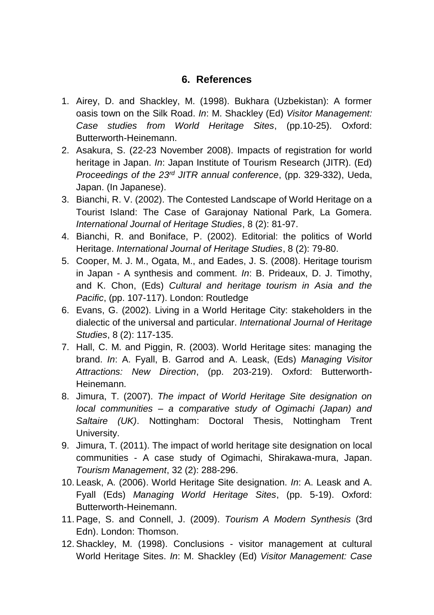## **6. References**

- 1. Airey, D. and Shackley, M. (1998). Bukhara (Uzbekistan): A former oasis town on the Silk Road. *In*: M. Shackley (Ed) *Visitor Management: Case studies from World Heritage Sites*, (pp.10-25). Oxford: Butterworth-Heinemann.
- 2. Asakura, S. (22-23 November 2008). Impacts of registration for world heritage in Japan. *In*: Japan Institute of Tourism Research (JITR). (Ed) *Proceedings of the 23rd JITR annual conference*, (pp. 329-332), Ueda, Japan. (In Japanese).
- 3. Bianchi, R. V. (2002). The Contested Landscape of World Heritage on a Tourist Island: The Case of Garajonay National Park, La Gomera. *International Journal of Heritage Studies*, 8 (2): 81-97.
- 4. Bianchi, R. and Boniface, P. (2002). Editorial: the politics of World Heritage. *International Journal of Heritage Studies*, 8 (2): 79-80.
- 5. Cooper, M. J. M., Ogata, M., and Eades, J. S. (2008). Heritage tourism in Japan - A synthesis and comment. *In*: B. Prideaux, D. J. Timothy, and K. Chon, (Eds) *Cultural and heritage tourism in Asia and the Pacific*, (pp. 107-117). London: Routledge
- 6. Evans, G. (2002). Living in a World Heritage City: stakeholders in the dialectic of the universal and particular. *International Journal of Heritage Studies*, 8 (2): 117-135.
- 7. Hall, C. M. and Piggin, R. (2003). World Heritage sites: managing the brand. *In*: A. Fyall, B. Garrod and A. Leask, (Eds) *Managing Visitor Attractions: New Direction*, (pp. 203-219). Oxford: Butterworth-Heinemann.
- 8. Jimura, T. (2007). *The impact of World Heritage Site designation on local communities – a comparative study of Ogimachi (Japan) and Saltaire (UK)*. Nottingham: Doctoral Thesis, Nottingham Trent University.
- 9. Jimura, T. (2011). The impact of world heritage site designation on local communities - A case study of Ogimachi, Shirakawa-mura, Japan. *Tourism Management*, 32 (2): 288-296.
- 10. Leask, A. (2006). World Heritage Site designation. *In*: A. Leask and A. Fyall (Eds) *Managing World Heritage Sites*, (pp. 5-19). Oxford: Butterworth-Heinemann.
- 11. Page, S. and Connell, J. (2009). *Tourism A Modern Synthesis* (3rd Edn). London: Thomson.
- 12. Shackley, M. (1998). Conclusions visitor management at cultural World Heritage Sites. *In*: M. Shackley (Ed) *Visitor Management: Case*